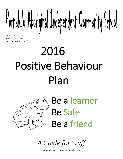Purnululu Aboriginal Independent Community School

Written Feb 2015 Revised: Apr 2016 Next Review: July 2016

# 2016 Positive Behaviour Plan



Be a learner Be Safe Be a friend

*A Guide for Staff*

Purnululu Positive Behaviour Plan - 1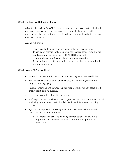## What is a Positive Behaviour Plan?

A Positive Behaviour Plan (PBP) is a set of strategies and systems to help develop a school culture where all members of the community (students, staff, parents/guardians and visitors) feel safe, valued, happy and motivated to learn and give their best.

A good PBP should:

- $-$  Have a clearly defined vision and set of behaviour expectations
- $-$  Be backed by research-validated practices that are school wide and are clearly communicated and used CONSISTENTLY by staff
- An acknowledgement & counselling/consequences system
- $\overline{a}$  Be supported by reliable administrative systems that are updated with relevant information

## What does a PBP school like?

- Whole school routines for behaviour and learning have been established.
- Teachers know their students and how they learn ensuring lessons are targeted and engaging.
- Positive, organised and safe teaching environments have been established that support learning success.
- Staff serve as models of positive behaviour.
- Staff explicitly teach a whole school program focused on social and emotional wellbeing (one lesson a week with daily 5 minute links is a good starting point).
- Systems are in place for providing regular positive feedback non-verbal, verbal and in the form of rewards.
	- o Teachers use a 6:1 ratio when highlighted student behaviour. 6 represents positive behaviour and 1 represents inappropriate behaviour.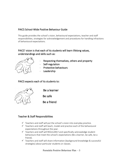# PAICS School-Wide Positive Behaviour Guide

This guide provides the school's vision, behavioural expectations, teacher and staff responsibilities, strategies for acknowledgement and procedures for handling infractions of behavioural expectations.

# PAICS' vision is that each of its students will learn lifelong values, understandings and skills such as:



- Respecting themselves, others and property
- Self-regulation
- Protective behaviours
- **Leadership**

## PAICS expects each of its students to:



Be a learner

Be safe

Be a friend

# Teacher & Staff Responsibilities

- $\checkmark$  Teachers and staff will put the school's vision into everyday practice.
- $\checkmark$  Teachers and staff will teach, model and practice each of the behavioural expectations throughout the year.
- $\checkmark$  Teachers and staff will REGULARLY and specifically acknowledge student behaviours that meet the school's expectations (Be a learner, be safe, be a friend).
- $\checkmark$  Teachers and staff will share information (background knowledge & successful strategies) about particular students or classes.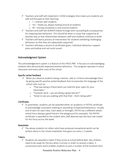- $\checkmark$  Teachers and staff will implement I–HUM strategies that make sure students are safe and focused on their learning:
	- $\circ$  I interact with students
	- o HU heads up, always looking around at students
	- o M moving constantly in and around students
- $\checkmark$  Teachers and staff will ALWAYS follow through with counselling & consequences for inappropriate behaviour. This should be done in a way that supportive & positive way so that relationships between staff and students continue to build.
- $\checkmark$  Teachers will lead a process of intervention for students exhibiting challenging behaviour so that they are adequately supported.
- $\checkmark$  Teachers will keep a record of certificates given, individual behaviour support plans and yellow and red cards issued.

## Acknowledgment System

The acknowledgement system is a feature of the PAICS PBP. It focuses on acknowledging students who demonstrate expected positive behaviour. This program operates in every classroom and every other area of the school.

### Specific verbal feedback

- $\checkmark$  When you observe students being a learner, safe or a friend acknowledge them by giving specific positive verbal feedback that incorporates the language of the school rules such as:
	- o "That was being a friend when you held the door open for your classmates."
	- o "Fantastic work you are being a great learner!"
	- o "Great to see you walking with that iPad that's being safe!"

#### **Certificates**

 $\checkmark$  In assemblies, students can be awarded either an academic or PATHS certificate to acknowledge consistent meeting or exceeding of expected behaviours. Usually one of each for each class. Each week or fortnight, PATHS has a different whole school focus (being a good friend in the playground for example). The PATHS certificate is awarded to the student who staff deemed was the best role model for this focus across the week.

#### **Newsletter**

 $\checkmark$  The above students (or others who have produced exceptional work) can be written about in the school newsletter that goes out every 2-3 weeks.

#### Tokens

 $\checkmark$  Students are awarded a token if they arrive at school before 8am. Bus children need to be ready for the bus when it arrives in order to receive a token. 5 consecutive early starts enables students to pick a number of the hundred chart.

Purnululu Positive Behaviour Plan - 4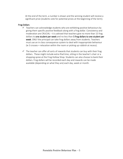At the end of the term, a number is drawn and the winning student will receive a significant prize (students vote for potential prizes at the beginning of the term).

#### Frog Dollars

- $\checkmark$  Teachers can acknowledge students who are exhibiting positive behaviours by giving them specific positive feedback along with a frog dollar. Consistency and moderation are CRUCIAL – it is advised that teachers give no more than 15 frog dollars to one student per week and no less than 5 frog dollars to one student per week. ONLY the principal can take frog dollars away from students. Teachers must use an in class consequence system to deal with inappropriate behaviour (ie 3 crosses = relocation within the room or picking up rubbish at recess).
- $\checkmark$  The teacher can offer all sorts of rewards that students can buy with their frog dollars. These might include extra iPad time, sitting in the teacher's chair or a shopping spree at the Frog Hollow Shop. Students can also choose to bank their dollars. Frog dollars will be recorded each day and rewards can be made available (depending on what they are) each day, week or month.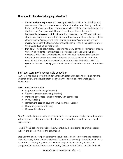# How should I handle challenging behaviour?

- Prevention is the key have you developed healthy, positive relationships with your students? Do you know relevant information about their background and home life? Do you know how they learn and what their interests and dreams for the future are? Are you modelling and teaching positive behaviours?
- Focus on the behaviour, not the student It works against the PBP system to see students as being bad rather than concentrating solely on their behaviour. It can cloud a teacher's judgement. It can damage a student's confidence and selfimage. It damages the teacher-student relationship. It can also negatively affect the class and school environment.
- Stay calm we all get stressed. Teaching has many demands. Remember though, that letting students see this stress too often can work against a PBP and negatively affect the relationship you have with your students. Don't see bad behaviour as a personal attack or reflection on you as a teacher. Be kind to yourself and if you don't know how to already, learn to SELF-REGULATE! The system below will also help you 'detach' yourself from the situation – internalize it!

## PBP level system of unacceptable behaviour

PAICS will maintain a level system for handling violations of behavioural expectations. Outlined below is the level system along with the instructions for handling such behaviours:

#### Level 1 behaviours include:

- Inappropriate language (cursing)
- Physical aggression (pushing, shoving)
- Defiance, disrespect, insubordination, non-compliance
- Lying, cheating
- Harassment, teasing, taunting (physical and/or verbal)
- Disruption, excessive talking
- Dress code violation

Step 1: Level 1 behaviours are to be handled by the classroom teacher or staff member witnessing such behaviours. Give the student a clear verbal reminder of the school expectations.

Step 2: If this behaviour persists, the student should be relocated to a time out area WITHIN the classroom or in the playground.

Step 3: If the behaviour persists after the student has been relocated to the classroom time out space, they will need to be sent to a buddy classroom (either with an ACT or a responsible student). A yellow card (checklist explaining behaviour) needs to be completed by the teacher and sent to buddy teacher (with ACT/responsible student).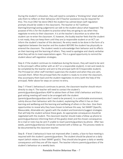During the student's relocation, they will need to complete a 'thinking time' sheet which asks them to reflect on their behaviour (ACT/Teacher assistance may be required for this). This must ONLY be done ONCE the student has calmed down (self-regulation prompts should be visible in the classroom). The teacher or ACT (without blaming/shaming/casting judgement) can talk to the student about what happened. The purpose of this is for the student to practice what they are going to say when they negotiate re-entry to their classroom. It is at the teacher's discretion as to when the student can re-enter the classroom. If, however, the buddy teacher feels that the student is not ready, they can keep them until they are (a responsible student or an ACT can inform the student's teacher of this decision). Re-entry needs to be done in the form of a negotiation between the teacher and the student BEFORE the student has physically reentered the classroom. The student needs to acknowledge their behavior and its effects on their learning and the learning of others. They need to apologise and clearly verbalise what they will do to meet expectations again. This is a good opportunity to remind the student about self-regulation strategies.

Step 4: If the student continues to misbehave during the lesson, they will need to be sent to the principal's office (either with an ACT or a responsible student). A red card needs to be completed by the teacher and sent to the principal (with ACT/responsible student). The Principal (or other staff member) supervises the student and when they are calm, counsels them. When the principal feels the student is ready to re-enter the classroom, they accompany them back and the student negotiates re-entry (with the help of the principal). Refer above for steps on correct re-entry.

Step 7: If level 1 behaviour/s continues to persist, the classroom teacher should return directly to step 4. The teacher will need to contact the student's parents/guardians/guardians ASAP to advise them of their child's behaviour and that a goal setting meeting will need to be arranged with the student (parents/guardians/guardians don't need to be present). In a comfortable environment, calmly discuss their behaviour with the student, explaining the effect it has on their learning and wellbeing and the learning and wellbeing of others in the class. Give them opportunities to reveal why they have chosen to behave this way. Set SMART (Specific, Measurable, Attainable etc.) goal/s with the student and brainstorm/suggest strategies that will help the student achieve these goals. An appropriate consequence should be negotiated with the student. The classroom teacher should make a follow up phone to parents/guardians(s) informing them of the goal(s) sheet and the chosen consequence. An e-mail or note may be sent if unable to reach parents/guardians by phone. After two weeks, parents/guardians(s) should be contacted with a follow up. This process needs to be documented by the classroom teacher.

Step 8: If level 1 behaviour/s have not improved after 2 weeks, a face-to-face meeting is required with the student's parents/guardians. The student should be placed on a daily report (which relates to their SMART goal/s). They should also be given a daily or weekly consequence until they are off the report. The teacher informs parents/guardians of the student's behaviour on a weekly basis.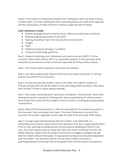Step 9: If the student is continuing to exhibit level 1 behaviours after one week of being on daily report, a further meeting with their parents/guardians will need to be organised and the consequence of either internal or external suspension will be tabled.

#### Level 2 behaviours include:

- Abusive language (threat of physical harm, offensive racial/sexual comments)
- Bullying (ongoing harassment in any form)
- Fighting (resulting in harm that requires first aid treatment)
- Forgery
- Theft
- Deliberate property damage or vandalism
- Violation of technology guidelines

Step 1: Students exhibiting Level 2 behaviours will need to be sent DIRECTLY to the principal's office (either with an ACT or a responsible student). A red card needs to be completed by the teacher and sent to the principal (with ACT/responsible student).

Step 2: The Teacher will be required to document the violation.

Step 3: Any other students with relevant information are asked to provide it in writing (teacher documents this if necessary).

Step 4: On the same day the student is sent to the office, the student's teacher or Principal should communicate the details to the parents/guardians by phone. Also advise them of Step 7 further on (goal-setting meeting).

Step 5: The student exhibiting level 2 behaviours completes a 'thinking time' sheet. After reading the incident report(s) & 'thinking time' sheet completed by all relevant parties, the principal then meets with the student to discuss further, including giving appropriate consequences.

Step 6: When/if the principal feels it is safe and reasonable for the student to go back to the classroom, they accompany them back. If the level 2 behaviour occurred in the classroom the student negotiates reentry (with the help of the principal). Refer above.

Step 7: Arrange a goal setting meeting with the student, to be held ASAP. In a comfortable environment, calmly discuss their behaviour with them, explaining the effect it has on their learning and wellbeing and the learning and wellbeing of others in the class. Give them opportunities to reveal why they have chosen to behave this way. Set SMART (Specific, ) goal/s with the student and brainstorm/suggest strategies that will help the student achieve these goals. An appropriate consequence should be negotiated with the student. The classroom teacher should make a follow up phone to parents/guardians(s) informing them of the goal(s) sheet and the chosen consequence.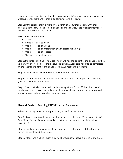An e-mail or note may be sent if unable to reach parents/guardians by phone. After two weeks, parents/guardians(s) should be contacted with a follow up.

Step 8: If the student again exhibits level 2 behaviour, a further meeting with their parents/guardians will need to be organised and the consequence of either internal or external suspension will be tabled.

## Level 3 behaviours include:

- Arson
- Bomb threat, false alarm
- Use, possession of alcohol
- Use, possession of prescription or non-prescription drugs
- Use, possession of tobacco
- Use, possession of weapons

Step 1: Students exhibiting Level 3 behaviours will need to be sent to the principal's office (either with an ACT or a responsible student) directly. A red card needs to be completed by the teacher and sent to the principal (with ACT/responsible student).

Step 2: The teacher will be required to document the violation.

Step 3: Any other students with relevant information are asked to provide it in writing (teacher documents this if necessary).

Step 4: The Principal will need to have their own policy to follow if/when this type of incident occurs, however the student should not be allowed back in the classroom and should be kept under extremely close supervision.

# General Guide to Teaching PAICS Expected Behaviours

When introducing behavioural expectations, follow four basic steps:

Step 1: Access prior knowledge of the three expected behaviours (Be a learner, Be Safe, Be a friend) for specific locations and events that are relevant to school (including excursions).

Step 2: Highlight location and event specific expected behaviours that the students haven't acknowledged themselves.

Step 3: Model and explicitly teach expected behaviours for specific locations and events.